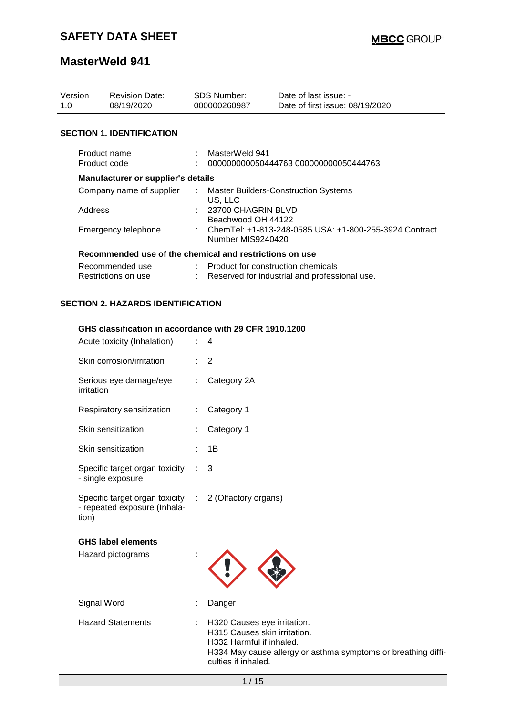| Version<br>1.0                   | <b>Revision Date:</b><br>08/19/2020                     |    | <b>SDS Number:</b><br>000000260987           | Date of last issue: -<br>Date of first issue: 08/19/2020 |
|----------------------------------|---------------------------------------------------------|----|----------------------------------------------|----------------------------------------------------------|
| <b>SECTION 1. IDENTIFICATION</b> |                                                         |    |                                              |                                                          |
| Product name<br>Product code     |                                                         |    | MasterWeld 941                               | 000000000050444763 000000000050444763                    |
|                                  | Manufacturer or supplier's details                      |    |                                              |                                                          |
|                                  | Company name of supplier                                | ÷. | US, LLC                                      | Master Builders-Construction Systems                     |
| Address                          |                                                         |    | $: 23700$ CHAGRIN BLVD<br>Beachwood OH 44122 |                                                          |
|                                  | Emergency telephone                                     |    | Number MIS9240420                            | : ChemTel: +1-813-248-0585 USA: +1-800-255-3924 Contract |
|                                  | Recommended use of the chemical and restrictions on use |    |                                              |                                                          |
|                                  | Recommended use<br>Restrictions on use                  |    | : Product for construction chemicals         | Reserved for industrial and professional use.            |

### **SECTION 2. HAZARDS IDENTIFICATION**

#### **GHS classification in accordance with 29 CFR 1910.1200**

| Acute toxicity (Inhalation)                                                                    |   | 4                                                                                                                                                                                 |
|------------------------------------------------------------------------------------------------|---|-----------------------------------------------------------------------------------------------------------------------------------------------------------------------------------|
| Skin corrosion/irritation                                                                      |   | 2                                                                                                                                                                                 |
| Serious eye damage/eye<br>irritation                                                           | ÷ | Category 2A                                                                                                                                                                       |
| Respiratory sensitization                                                                      | ÷ | Category 1                                                                                                                                                                        |
| Skin sensitization                                                                             |   | Category 1                                                                                                                                                                        |
| Skin sensitization                                                                             |   | 1B                                                                                                                                                                                |
| Specific target organ toxicity<br>- single exposure                                            |   | 3                                                                                                                                                                                 |
| Specific target organ toxicity : 2 (Olfactory organs)<br>- repeated exposure (Inhala-<br>tion) |   |                                                                                                                                                                                   |
| <b>GHS label elements</b><br>Hazard pictograms                                                 |   |                                                                                                                                                                                   |
| Signal Word                                                                                    |   | Danger                                                                                                                                                                            |
| <b>Hazard Statements</b>                                                                       |   | : H320 Causes eye irritation.<br>H315 Causes skin irritation.<br>H332 Harmful if inhaled.<br>H334 May cause allergy or asthma symptoms or breathing diffi-<br>culties if inhaled. |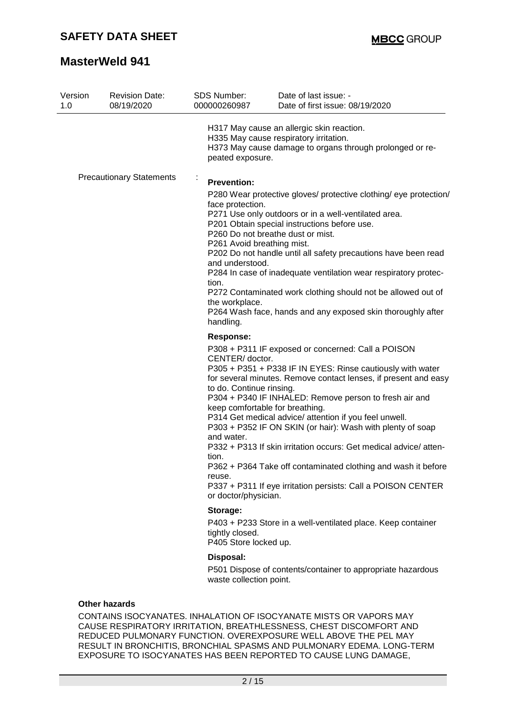| Version<br>1.0 | <b>Revision Date:</b><br>08/19/2020 | SDS Number:<br>000000260987                                                                                                                         | Date of last issue: -<br>Date of first issue: 08/19/2020                                                                                                                                                                                                                                                                                                                                                                                                                                                                                 |
|----------------|-------------------------------------|-----------------------------------------------------------------------------------------------------------------------------------------------------|------------------------------------------------------------------------------------------------------------------------------------------------------------------------------------------------------------------------------------------------------------------------------------------------------------------------------------------------------------------------------------------------------------------------------------------------------------------------------------------------------------------------------------------|
|                |                                     | peated exposure.                                                                                                                                    | H317 May cause an allergic skin reaction.<br>H335 May cause respiratory irritation.<br>H373 May cause damage to organs through prolonged or re-                                                                                                                                                                                                                                                                                                                                                                                          |
|                | <b>Precautionary Statements</b>     | <b>Prevention:</b><br>face protection.<br>P261 Avoid breathing mist.<br>and understood.<br>tion.<br>the workplace.<br>handling.<br><b>Response:</b> | P280 Wear protective gloves/ protective clothing/ eye protection/<br>P271 Use only outdoors or in a well-ventilated area.<br>P201 Obtain special instructions before use.<br>P260 Do not breathe dust or mist.<br>P202 Do not handle until all safety precautions have been read<br>P284 In case of inadequate ventilation wear respiratory protec-<br>P272 Contaminated work clothing should not be allowed out of<br>P264 Wash face, hands and any exposed skin thoroughly after<br>P308 + P311 IF exposed or concerned: Call a POISON |
|                |                                     | CENTER/ doctor.<br>to do. Continue rinsing.<br>keep comfortable for breathing.<br>and water.<br>tion.<br>reuse.<br>or doctor/physician.             | P305 + P351 + P338 IF IN EYES: Rinse cautiously with water<br>for several minutes. Remove contact lenses, if present and easy<br>P304 + P340 IF INHALED: Remove person to fresh air and<br>P314 Get medical advice/ attention if you feel unwell.<br>P303 + P352 IF ON SKIN (or hair): Wash with plenty of soap<br>P332 + P313 If skin irritation occurs: Get medical advice/atten-<br>P362 + P364 Take off contaminated clothing and wash it before<br>P337 + P311 If eye irritation persists: Call a POISON CENTER                     |
|                |                                     | Storage:<br>tightly closed.<br>P405 Store locked up.                                                                                                | P403 + P233 Store in a well-ventilated place. Keep container                                                                                                                                                                                                                                                                                                                                                                                                                                                                             |
|                |                                     | Disposal:<br>waste collection point.                                                                                                                | P501 Dispose of contents/container to appropriate hazardous                                                                                                                                                                                                                                                                                                                                                                                                                                                                              |
|                | <b>Other hazards</b>                |                                                                                                                                                     |                                                                                                                                                                                                                                                                                                                                                                                                                                                                                                                                          |

CONTAINS ISOCYANATES. INHALATION OF ISOCYANATE MISTS OR VAPORS MAY CAUSE RESPIRATORY IRRITATION, BREATHLESSNESS, CHEST DISCOMFORT AND REDUCED PULMONARY FUNCTION. OVEREXPOSURE WELL ABOVE THE PEL MAY RESULT IN BRONCHITIS, BRONCHIAL SPASMS AND PULMONARY EDEMA. LONG-TERM EXPOSURE TO ISOCYANATES HAS BEEN REPORTED TO CAUSE LUNG DAMAGE,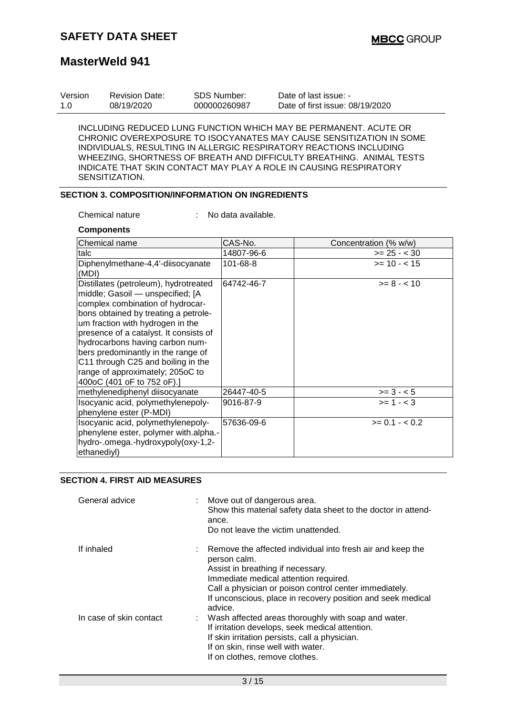| Version | Revision Date: | SDS Number:  | Date of last issue: -           |
|---------|----------------|--------------|---------------------------------|
| -1.0    | 08/19/2020     | 000000260987 | Date of first issue: 08/19/2020 |

INCLUDING REDUCED LUNG FUNCTION WHICH MAY BE PERMANENT. ACUTE OR CHRONIC OVEREXPOSURE TO ISOCYANATES MAY CAUSE SENSITIZATION IN SOME INDIVIDUALS, RESULTING IN ALLERGIC RESPIRATORY REACTIONS INCLUDING WHEEZING, SHORTNESS OF BREATH AND DIFFICULTY BREATHING. ANIMAL TESTS INDICATE THAT SKIN CONTACT MAY PLAY A ROLE IN CAUSING RESPIRATORY SENSITIZATION.

### **SECTION 3. COMPOSITION/INFORMATION ON INGREDIENTS**

Chemical nature : No data available.

#### **Components**

| lChemical name                                                                                                                                                                                                                                                                                                                                                                                                       | CAS-No.    | Concentration (% w/w) |
|----------------------------------------------------------------------------------------------------------------------------------------------------------------------------------------------------------------------------------------------------------------------------------------------------------------------------------------------------------------------------------------------------------------------|------------|-----------------------|
| talc                                                                                                                                                                                                                                                                                                                                                                                                                 | 14807-96-6 | $>= 25 - < 30$        |
| Diphenylmethane-4,4'-diisocyanate<br>(MDI)                                                                                                                                                                                                                                                                                                                                                                           | 101-68-8   | $>= 10 - 15$          |
| Distillates (petroleum), hydrotreated<br>middle; Gasoil - unspecified; [A<br>complex combination of hydrocar-<br>bons obtained by treating a petrole-<br>um fraction with hydrogen in the<br>presence of a catalyst. It consists of<br>hydrocarbons having carbon num-<br>bers predominantly in the range of<br>C11 through C25 and boiling in the<br>range of approximately; 205oC to<br>400oC (401 oF to 752 oF).] | 64742-46-7 | $>= 8 - 10$           |
| methylenediphenyl diisocyanate                                                                                                                                                                                                                                                                                                                                                                                       | 26447-40-5 | $>= 3 - 5$            |
| Isocyanic acid, polymethylenepoly-<br>phenylene ester (P-MDI)                                                                                                                                                                                                                                                                                                                                                        | 9016-87-9  | $>= 1 - 3$            |
| Isocyanic acid, polymethylenepoly-<br>phenylene ester, polymer with.alpha.-<br>hydro-.omega.-hydroxypoly(oxy-1,2-<br>ethanediyl)                                                                                                                                                                                                                                                                                     | 57636-09-6 | $>= 0.1 - < 0.2$      |

#### **SECTION 4. FIRST AID MEASURES**

| General advice          | : Move out of dangerous area.<br>Show this material safety data sheet to the doctor in attend-<br>ance.<br>Do not leave the victim unattended.                                                                                                                                                 |
|-------------------------|------------------------------------------------------------------------------------------------------------------------------------------------------------------------------------------------------------------------------------------------------------------------------------------------|
| If inhaled              | : Remove the affected individual into fresh air and keep the<br>person calm.<br>Assist in breathing if necessary.<br>Immediate medical attention required.<br>Call a physician or poison control center immediately.<br>If unconscious, place in recovery position and seek medical<br>advice. |
| In case of skin contact | : Wash affected areas thoroughly with soap and water.<br>If irritation develops, seek medical attention.<br>If skin irritation persists, call a physician.<br>If on skin, rinse well with water.<br>If on clothes, remove clothes.                                                             |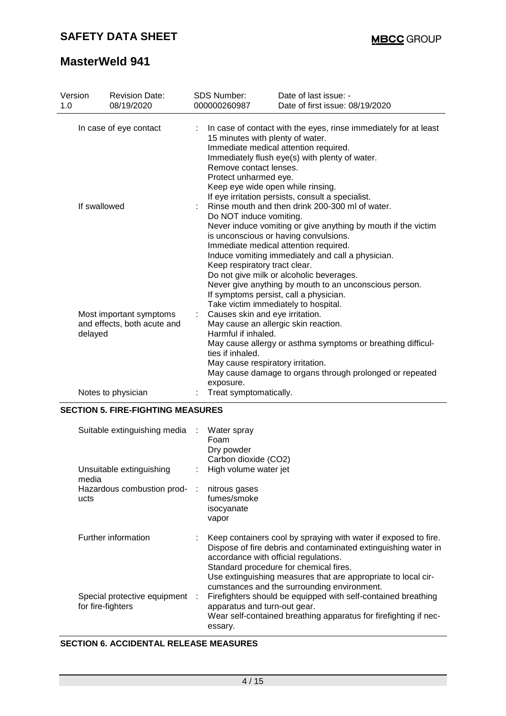| Version                |         | <b>Revision Date:</b>                                                                                                    | <b>SDS Number:</b>                                                                                                                                                                                                                                                                                                                                                                                                                              | Date of last issue: -                                                                                                                                           |
|------------------------|---------|--------------------------------------------------------------------------------------------------------------------------|-------------------------------------------------------------------------------------------------------------------------------------------------------------------------------------------------------------------------------------------------------------------------------------------------------------------------------------------------------------------------------------------------------------------------------------------------|-----------------------------------------------------------------------------------------------------------------------------------------------------------------|
| 1.0                    |         | 08/19/2020                                                                                                               | 000000260987                                                                                                                                                                                                                                                                                                                                                                                                                                    | Date of first issue: 08/19/2020                                                                                                                                 |
| In case of eye contact |         | 15 minutes with plenty of water.<br>Remove contact lenses.<br>Protect unharmed eye.<br>Keep eye wide open while rinsing. | In case of contact with the eyes, rinse immediately for at least<br>Immediate medical attention required.<br>Immediately flush eye(s) with plenty of water.<br>If eye irritation persists, consult a specialist.                                                                                                                                                                                                                                |                                                                                                                                                                 |
| If swallowed           |         | Do NOT induce vomiting.<br>Keep respiratory tract clear.                                                                 | Rinse mouth and then drink 200-300 ml of water.<br>Never induce vomiting or give anything by mouth if the victim<br>is unconscious or having convulsions.<br>Immediate medical attention required.<br>Induce vomiting immediately and call a physician.<br>Do not give milk or alcoholic beverages.<br>Never give anything by mouth to an unconscious person.<br>If symptoms persist, call a physician.<br>Take victim immediately to hospital. |                                                                                                                                                                 |
|                        | delayed | Most important symptoms<br>and effects, both acute and                                                                   | Causes skin and eye irritation.<br>Harmful if inhaled.<br>ties if inhaled.<br>May cause respiratory irritation.<br>exposure.                                                                                                                                                                                                                                                                                                                    | May cause an allergic skin reaction.<br>May cause allergy or asthma symptoms or breathing difficul-<br>May cause damage to organs through prolonged or repeated |
|                        |         | Notes to physician                                                                                                       | Treat symptomatically.                                                                                                                                                                                                                                                                                                                                                                                                                          |                                                                                                                                                                 |

#### **SECTION 5. FIRE-FIGHTING MEASURES**

| Suitable extinguishing media :                      | Water spray<br>Foam<br>Dry powder<br>Carbon dioxide (CO2)                                                                                                                                                                                                                                    |
|-----------------------------------------------------|----------------------------------------------------------------------------------------------------------------------------------------------------------------------------------------------------------------------------------------------------------------------------------------------|
| Unsuitable extinguishing<br>media                   | High volume water jet                                                                                                                                                                                                                                                                        |
| Hazardous combustion prod- :<br>ucts                | nitrous gases<br>fumes/smoke<br>isocyanate<br>vapor                                                                                                                                                                                                                                          |
| Further information                                 | Keep containers cool by spraying with water if exposed to fire.<br>Dispose of fire debris and contaminated extinguishing water in<br>accordance with official regulations.<br>Standard procedure for chemical fires.                                                                         |
| Special protective equipment :<br>for fire-fighters | Use extinguishing measures that are appropriate to local cir-<br>cumstances and the surrounding environment.<br>Firefighters should be equipped with self-contained breathing<br>apparatus and turn-out gear.<br>Wear self-contained breathing apparatus for firefighting if nec-<br>essary. |

### **SECTION 6. ACCIDENTAL RELEASE MEASURES**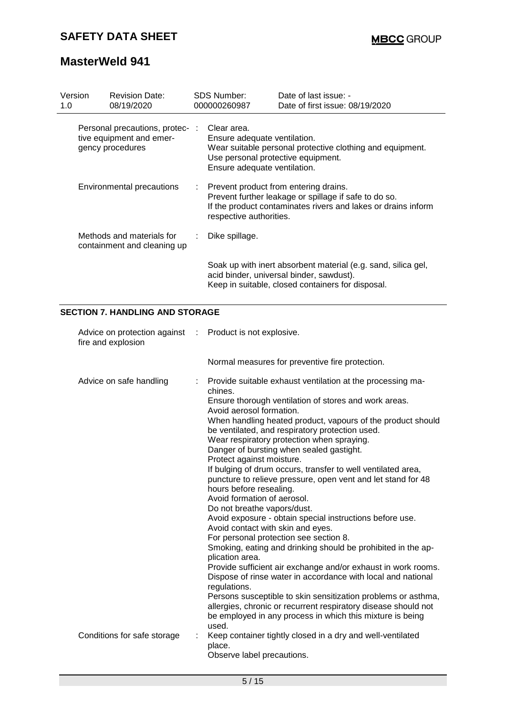| Version<br>1.0            | <b>Revision Date:</b><br>08/19/2020                                             | SDS Number:<br>000000260987                                                                                                                                                                | Date of last issue: -<br>Date of first issue: 08/19/2020                                                                                                       |
|---------------------------|---------------------------------------------------------------------------------|--------------------------------------------------------------------------------------------------------------------------------------------------------------------------------------------|----------------------------------------------------------------------------------------------------------------------------------------------------------------|
|                           | Personal precautions, protec- :<br>tive equipment and emer-<br>gency procedures | Clear area.<br>Ensure adequate ventilation.<br>Use personal protective equipment.<br>Ensure adequate ventilation.                                                                          | Wear suitable personal protective clothing and equipment.                                                                                                      |
| Environmental precautions |                                                                                 | Prevent product from entering drains.<br>Prevent further leakage or spillage if safe to do so.<br>If the product contaminates rivers and lakes or drains inform<br>respective authorities. |                                                                                                                                                                |
|                           | Methods and materials for<br>containment and cleaning up                        | Dike spillage.                                                                                                                                                                             |                                                                                                                                                                |
|                           |                                                                                 |                                                                                                                                                                                            | Soak up with inert absorbent material (e.g. sand, silica gel,<br>acid binder, universal binder, sawdust).<br>Keep in suitable, closed containers for disposal. |

### **SECTION 7. HANDLING AND STORAGE**

| Advice on protection against : Product is not explosive.<br>fire and explosion |                                                                                                                                                                                                                                                                                                                                                                                                                                                                                                                                                                                                                                                                                                                                                                                                                                                                                                                                                                                                                                                                                                                                                                                                                            |  |
|--------------------------------------------------------------------------------|----------------------------------------------------------------------------------------------------------------------------------------------------------------------------------------------------------------------------------------------------------------------------------------------------------------------------------------------------------------------------------------------------------------------------------------------------------------------------------------------------------------------------------------------------------------------------------------------------------------------------------------------------------------------------------------------------------------------------------------------------------------------------------------------------------------------------------------------------------------------------------------------------------------------------------------------------------------------------------------------------------------------------------------------------------------------------------------------------------------------------------------------------------------------------------------------------------------------------|--|
|                                                                                | Normal measures for preventive fire protection.                                                                                                                                                                                                                                                                                                                                                                                                                                                                                                                                                                                                                                                                                                                                                                                                                                                                                                                                                                                                                                                                                                                                                                            |  |
| Advice on safe handling                                                        | Provide suitable exhaust ventilation at the processing ma-<br>t.<br>chines.<br>Ensure thorough ventilation of stores and work areas.<br>Avoid aerosol formation.<br>When handling heated product, vapours of the product should<br>be ventilated, and respiratory protection used.<br>Wear respiratory protection when spraying.<br>Danger of bursting when sealed gastight.<br>Protect against moisture.<br>If bulging of drum occurs, transfer to well ventilated area,<br>puncture to relieve pressure, open vent and let stand for 48<br>hours before resealing.<br>Avoid formation of aerosol.<br>Do not breathe vapors/dust.<br>Avoid exposure - obtain special instructions before use.<br>Avoid contact with skin and eyes.<br>For personal protection see section 8.<br>Smoking, eating and drinking should be prohibited in the ap-<br>plication area.<br>Provide sufficient air exchange and/or exhaust in work rooms.<br>Dispose of rinse water in accordance with local and national<br>regulations.<br>Persons susceptible to skin sensitization problems or asthma,<br>allergies, chronic or recurrent respiratory disease should not<br>be employed in any process in which this mixture is being<br>used. |  |
| Conditions for safe storage                                                    | Keep container tightly closed in a dry and well-ventilated<br>place.<br>Observe label precautions.                                                                                                                                                                                                                                                                                                                                                                                                                                                                                                                                                                                                                                                                                                                                                                                                                                                                                                                                                                                                                                                                                                                         |  |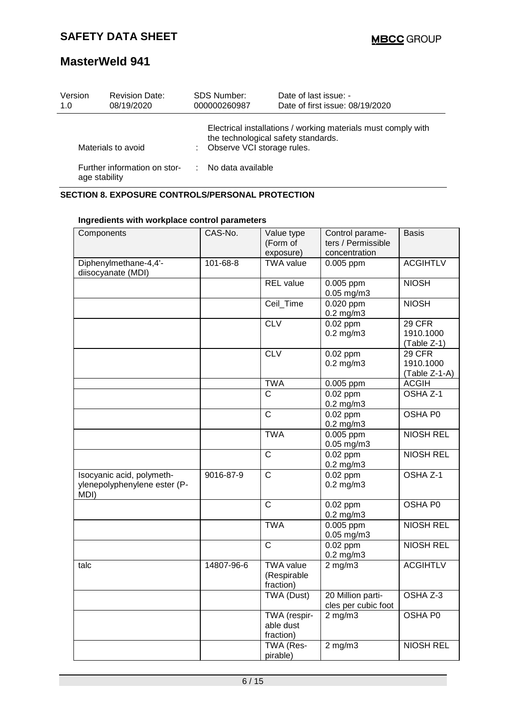| Version<br>1.0<br>08/19/2020                                        | <b>Revision Date:</b> | <b>SDS Number:</b><br>000000260987                                                         | Date of last issue: -<br>Date of first issue: 08/19/2020      |
|---------------------------------------------------------------------|-----------------------|--------------------------------------------------------------------------------------------|---------------------------------------------------------------|
| Materials to avoid<br>Further information on stor-<br>age stability |                       | the technological safety standards.<br>: Observe VCI storage rules.<br>: No data available | Electrical installations / working materials must comply with |

## **SECTION 8. EXPOSURE CONTROLS/PERSONAL PROTECTION**

| Components                   | CAS-No.    | Value type            | Control parame-     | <b>Basis</b>        |
|------------------------------|------------|-----------------------|---------------------|---------------------|
|                              |            | (Form of              | ters / Permissible  |                     |
|                              |            | exposure)             | concentration       |                     |
| Diphenylmethane-4,4'-        | 101-68-8   | <b>TWA</b> value      | 0.005 ppm           | <b>ACGIHTLV</b>     |
| diisocyanate (MDI)           |            |                       |                     |                     |
|                              |            | <b>REL</b> value      | 0.005 ppm           | <b>NIOSH</b>        |
|                              |            |                       | $0.05$ mg/m $3$     |                     |
|                              |            | Ceil_Time             | 0.020 ppm           | <b>NIOSH</b>        |
|                              |            |                       | $0.2$ mg/m $3$      |                     |
|                              |            | CLV                   | $0.02$ ppm          | 29 CFR              |
|                              |            |                       | $0.2$ mg/m $3$      | 1910.1000           |
|                              |            |                       |                     | (Table Z-1)         |
|                              |            | <b>CLV</b>            | 0.02 ppm            | 29 CFR              |
|                              |            |                       | $0.2$ mg/m $3$      | 1910.1000           |
|                              |            |                       |                     | (Table Z-1-A)       |
|                              |            | <b>TWA</b>            | 0.005 ppm           | <b>ACGIH</b>        |
|                              |            | $\overline{\text{C}}$ | $0.02$ ppm          | OSHA <sub>Z-1</sub> |
|                              |            |                       | $0.2$ mg/m $3$      |                     |
|                              |            | $\overline{C}$        | $0.02$ ppm          | OSHA P0             |
|                              |            |                       | $0.2$ mg/m $3$      |                     |
|                              |            | <b>TWA</b>            | 0.005 ppm           | <b>NIOSH REL</b>    |
|                              |            |                       | $0.05$ mg/m $3$     |                     |
|                              |            | $\mathsf{C}$          | $0.02$ ppm          | <b>NIOSH REL</b>    |
|                              |            |                       | $0.2$ mg/m $3$      |                     |
| Isocyanic acid, polymeth-    | 9016-87-9  | $\overline{C}$        | $0.02$ ppm          | OSHA Z-1            |
| ylenepolyphenylene ester (P- |            |                       | $0.2$ mg/m $3$      |                     |
| MDI)                         |            |                       |                     |                     |
|                              |            | $\mathsf{C}$          | 0.02 ppm            | OSHA PO             |
|                              |            |                       | $0.2$ mg/m $3$      |                     |
|                              |            | <b>TWA</b>            | $0.005$ ppm         | <b>NIOSH REL</b>    |
|                              |            |                       | $0.05$ mg/m3        |                     |
|                              |            | $\mathsf{C}$          | $0.02$ ppm          | <b>NIOSH REL</b>    |
|                              |            |                       | $0.2$ mg/m $3$      |                     |
| talc                         | 14807-96-6 | <b>TWA value</b>      | $2$ mg/m $3$        | <b>ACGIHTLV</b>     |
|                              |            | (Respirable           |                     |                     |
|                              |            | fraction)             |                     |                     |
|                              |            | <b>TWA (Dust)</b>     | 20 Million parti-   | OSHA Z-3            |
|                              |            |                       | cles per cubic foot |                     |
|                              |            | TWA (respir-          | $2$ mg/m $3$        | OSHA P0             |
|                              |            | able dust             |                     |                     |
|                              |            | fraction)             |                     |                     |
|                              |            | TWA (Res-             | $2$ mg/m $3$        | <b>NIOSH REL</b>    |
|                              |            | pirable)              |                     |                     |

#### **Ingredients with workplace control parameters**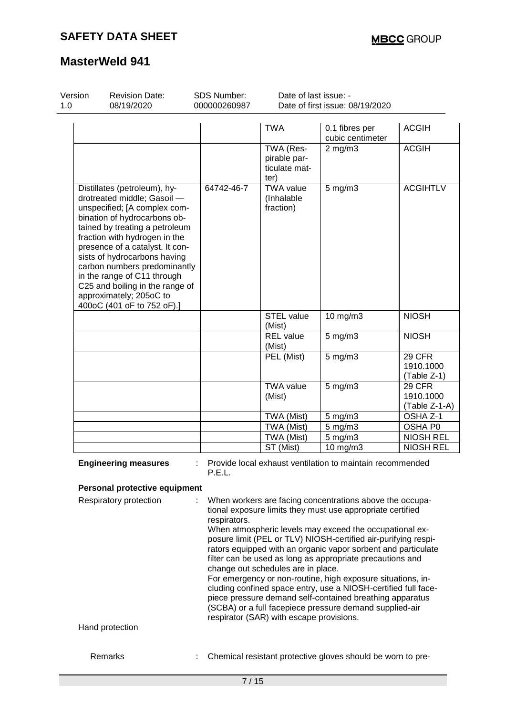| Version<br>1.0 | <b>Revision Date:</b><br>08/19/2020                                                                                                                                                                                                                                                                                                                                                                                          | SDS Number:<br>000000260987 | Date of last issue: -                              | Date of first issue: 08/19/2020                                                                                                                                                   |                                      |
|----------------|------------------------------------------------------------------------------------------------------------------------------------------------------------------------------------------------------------------------------------------------------------------------------------------------------------------------------------------------------------------------------------------------------------------------------|-----------------------------|----------------------------------------------------|-----------------------------------------------------------------------------------------------------------------------------------------------------------------------------------|--------------------------------------|
|                |                                                                                                                                                                                                                                                                                                                                                                                                                              |                             | TWA                                                | 0.1 fibres per<br>cubic centimeter                                                                                                                                                | <b>ACGIH</b>                         |
|                |                                                                                                                                                                                                                                                                                                                                                                                                                              |                             | TWA (Res-<br>pirable par-<br>ticulate mat-<br>ter) | $2$ mg/m $3$                                                                                                                                                                      | <b>ACGIH</b>                         |
|                | Distillates (petroleum), hy-<br>drotreated middle; Gasoil -<br>unspecified; [A complex com-<br>bination of hydrocarbons ob-<br>tained by treating a petroleum<br>fraction with hydrogen in the<br>presence of a catalyst. It con-<br>sists of hydrocarbons having<br>carbon numbers predominantly<br>in the range of C11 through<br>C25 and boiling in the range of<br>approximately; 205oC to<br>400oC (401 oF to 752 oF).] | 64742-46-7                  | <b>TWA value</b><br>(Inhalable<br>fraction)        | $5$ mg/m $3$                                                                                                                                                                      | <b>ACGIHTLV</b>                      |
|                |                                                                                                                                                                                                                                                                                                                                                                                                                              |                             | <b>STEL</b> value<br>(Mist)                        | 10 mg/m3                                                                                                                                                                          | <b>NIOSH</b>                         |
|                |                                                                                                                                                                                                                                                                                                                                                                                                                              |                             | <b>REL</b> value<br>(Mist)                         | $5$ mg/m $3$                                                                                                                                                                      | <b>NIOSH</b>                         |
|                |                                                                                                                                                                                                                                                                                                                                                                                                                              |                             | PEL (Mist)                                         | $5$ mg/m $3$                                                                                                                                                                      | 29 CFR<br>1910.1000<br>(Table Z-1)   |
|                |                                                                                                                                                                                                                                                                                                                                                                                                                              |                             | <b>TWA value</b><br>(Mist)                         | $5$ mg/m $3$                                                                                                                                                                      | 29 CFR<br>1910.1000<br>(Table Z-1-A) |
|                |                                                                                                                                                                                                                                                                                                                                                                                                                              |                             | TWA (Mist)                                         | 5 mg/m3                                                                                                                                                                           | OSHA Z-1                             |
|                |                                                                                                                                                                                                                                                                                                                                                                                                                              |                             | TWA (Mist)                                         | $5$ mg/m $3$                                                                                                                                                                      | OSHA P0                              |
|                |                                                                                                                                                                                                                                                                                                                                                                                                                              |                             | TWA (Mist)                                         | $5$ mg/m $3$                                                                                                                                                                      | <b>NIOSH REL</b>                     |
|                |                                                                                                                                                                                                                                                                                                                                                                                                                              |                             | ST (Mist)                                          | 10 mg/m3                                                                                                                                                                          | <b>NIOSH REL</b>                     |
|                | <b>Engineering measures</b>                                                                                                                                                                                                                                                                                                                                                                                                  | P.E.L.                      |                                                    | Provide local exhaust ventilation to maintain recommended                                                                                                                         |                                      |
|                | Personal protective equipment                                                                                                                                                                                                                                                                                                                                                                                                |                             |                                                    |                                                                                                                                                                                   |                                      |
|                | Respiratory protection                                                                                                                                                                                                                                                                                                                                                                                                       | respirators.                |                                                    | When workers are facing concentrations above the occupa-<br>tional exposure limits they must use appropriate certified<br>When atmospheric levels may exceed the occupational ex- |                                      |

posure limit (PEL or TLV) NIOSH-certified air-purifying respirators equipped with an organic vapor sorbent and particulate filter can be used as long as appropriate precautions and change out schedules are in place.

For emergency or non-routine, high exposure situations, including confined space entry, use a NIOSH-certified full facepiece pressure demand self-contained breathing apparatus (SCBA) or a full facepiece pressure demand supplied-air respirator (SAR) with escape provisions.

Hand protection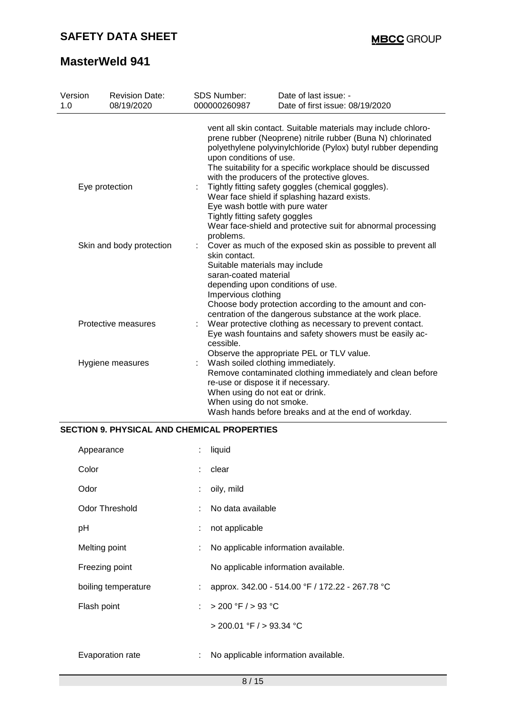| Version<br>1.0 | <b>Revision Date:</b><br>08/19/2020 | <b>SDS Number:</b><br>000000260987 |                                                                                                                                                                                                                                                                                                                                                                                                                                                                                                                                                                                                  | Date of last issue: -<br>Date of first issue: 08/19/2020                                                                                                                                                                       |  |
|----------------|-------------------------------------|------------------------------------|--------------------------------------------------------------------------------------------------------------------------------------------------------------------------------------------------------------------------------------------------------------------------------------------------------------------------------------------------------------------------------------------------------------------------------------------------------------------------------------------------------------------------------------------------------------------------------------------------|--------------------------------------------------------------------------------------------------------------------------------------------------------------------------------------------------------------------------------|--|
| Eye protection |                                     |                                    | vent all skin contact. Suitable materials may include chloro-<br>prene rubber (Neoprene) nitrile rubber (Buna N) chlorinated<br>polyethylene polyvinylchloride (Pylox) butyl rubber depending<br>upon conditions of use.<br>The suitability for a specific workplace should be discussed<br>with the producers of the protective gloves.<br>Tightly fitting safety goggles (chemical goggles).<br>Wear face shield if splashing hazard exists.<br>Eye wash bottle with pure water<br>Tightly fitting safety goggles<br>Wear face-shield and protective suit for abnormal processing<br>problems. |                                                                                                                                                                                                                                |  |
|                | Skin and body protection            |                                    | skin contact.<br>Suitable materials may include<br>saran-coated material<br>Impervious clothing                                                                                                                                                                                                                                                                                                                                                                                                                                                                                                  | Cover as much of the exposed skin as possible to prevent all<br>depending upon conditions of use.<br>Choose body protection according to the amount and con-                                                                   |  |
|                | Protective measures                 | t.<br>cessible.                    |                                                                                                                                                                                                                                                                                                                                                                                                                                                                                                                                                                                                  | centration of the dangerous substance at the work place.<br>Wear protective clothing as necessary to prevent contact.<br>Eye wash fountains and safety showers must be easily ac-<br>Observe the appropriate PEL or TLV value. |  |
|                | Hygiene measures                    |                                    | When using do not smoke.                                                                                                                                                                                                                                                                                                                                                                                                                                                                                                                                                                         | Wash soiled clothing immediately.<br>Remove contaminated clothing immediately and clean before<br>re-use or dispose it if necessary.<br>When using do not eat or drink.<br>Wash hands before breaks and at the end of workday. |  |

#### **SECTION 9. PHYSICAL AND CHEMICAL PROPERTIES**

| Appearance            | ÷  | liquid                                          |
|-----------------------|----|-------------------------------------------------|
| Color                 |    | clear                                           |
| Odor                  |    | oily, mild                                      |
| <b>Odor Threshold</b> |    | No data available                               |
| рH                    | ÷  | not applicable                                  |
| Melting point         |    | No applicable information available.            |
| Freezing point        |    | No applicable information available.            |
| boiling temperature   | ÷. | approx. 342.00 - 514.00 °F / 172.22 - 267.78 °C |
| Flash point           | ÷  | > 200 °F / > 93 °C                              |
|                       |    | $>$ 200.01 °F / $>$ 93.34 °C                    |
| Evaporation rate      |    | No applicable information available.            |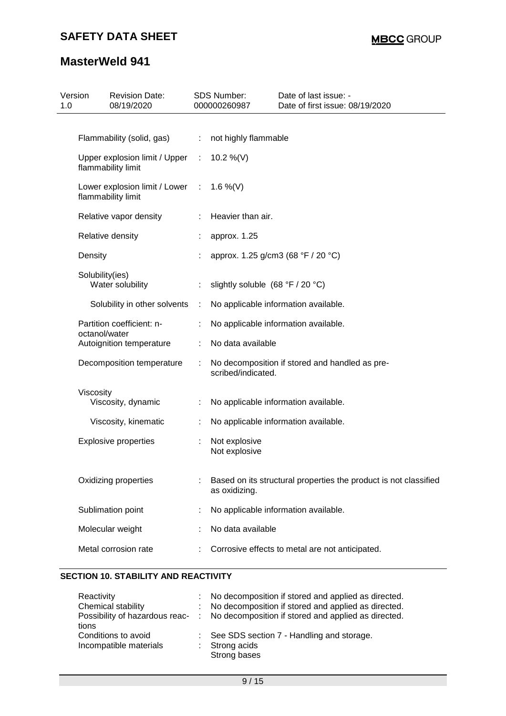| Version<br>1.0 | <b>Revision Date:</b><br>08/19/2020                 |                             | SDS Number:<br>000000260987      | Date of last issue: -<br>Date of first issue: 08/19/2020         |
|----------------|-----------------------------------------------------|-----------------------------|----------------------------------|------------------------------------------------------------------|
|                |                                                     |                             |                                  |                                                                  |
|                | Flammability (solid, gas)                           | ÷                           | not highly flammable             |                                                                  |
|                | Upper explosion limit / Upper<br>flammability limit | ÷.                          | 10.2 %(V)                        |                                                                  |
|                | Lower explosion limit / Lower<br>flammability limit | $\mathcal{I}^{\mathcal{I}}$ | 1.6 %(V)                         |                                                                  |
|                | Relative vapor density                              |                             | Heavier than air.                |                                                                  |
|                | Relative density                                    |                             | approx. 1.25                     |                                                                  |
|                | Density                                             |                             |                                  | approx. 1.25 g/cm3 (68 °F / 20 °C)                               |
|                | Solubility(ies)<br>Water solubility                 |                             | slightly soluble (68 °F / 20 °C) |                                                                  |
|                | Solubility in other solvents                        | ÷                           |                                  | No applicable information available.                             |
|                | Partition coefficient: n-<br>octanol/water          |                             |                                  | No applicable information available.                             |
|                | Autoignition temperature                            | ÷                           | No data available                |                                                                  |
|                | Decomposition temperature                           |                             | scribed/indicated.               | No decomposition if stored and handled as pre-                   |
|                | Viscosity                                           |                             |                                  |                                                                  |
|                | Viscosity, dynamic                                  | ÷                           |                                  | No applicable information available.                             |
|                | Viscosity, kinematic                                |                             |                                  | No applicable information available.                             |
|                | <b>Explosive properties</b>                         | ÷                           | Not explosive<br>Not explosive   |                                                                  |
|                | Oxidizing properties                                |                             | as oxidizing.                    | Based on its structural properties the product is not classified |
|                | Sublimation point                                   |                             |                                  | No applicable information available.                             |
|                | Molecular weight                                    |                             | No data available                |                                                                  |
|                | Metal corrosion rate                                |                             |                                  | Corrosive effects to metal are not anticipated.                  |

### **SECTION 10. STABILITY AND REACTIVITY**

| Reactivity                              | : No decomposition if stored and applied as directed. |
|-----------------------------------------|-------------------------------------------------------|
| Chemical stability                      | : No decomposition if stored and applied as directed. |
| Possibility of hazardous reac-<br>tions | No decomposition if stored and applied as directed.   |
| Conditions to avoid                     | See SDS section 7 - Handling and storage.             |
| Incompatible materials                  | $:$ Strong acids<br>Strong bases                      |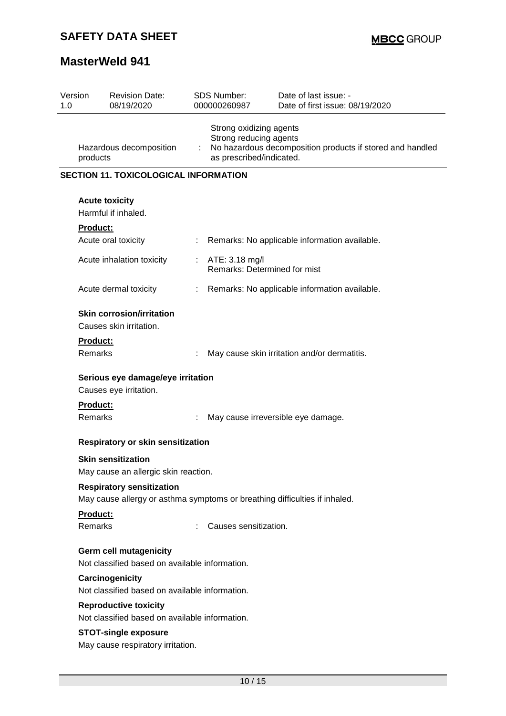| Version<br><b>Revision Date:</b><br>08/19/2020<br>1.0                                                          | <b>SDS Number:</b><br>000000260987                                            | Date of last issue: -<br>Date of first issue: 08/19/2020  |  |  |  |  |  |  |  |
|----------------------------------------------------------------------------------------------------------------|-------------------------------------------------------------------------------|-----------------------------------------------------------|--|--|--|--|--|--|--|
| Hazardous decomposition<br>products                                                                            | Strong oxidizing agents<br>Strong reducing agents<br>as prescribed/indicated. | No hazardous decomposition products if stored and handled |  |  |  |  |  |  |  |
|                                                                                                                | <b>SECTION 11. TOXICOLOGICAL INFORMATION</b>                                  |                                                           |  |  |  |  |  |  |  |
| <b>Acute toxicity</b><br>Harmful if inhaled.                                                                   |                                                                               |                                                           |  |  |  |  |  |  |  |
| <b>Product:</b>                                                                                                |                                                                               |                                                           |  |  |  |  |  |  |  |
| Acute oral toxicity                                                                                            |                                                                               | Remarks: No applicable information available.             |  |  |  |  |  |  |  |
| Acute inhalation toxicity                                                                                      | ATE: 3.18 mg/l<br>÷.                                                          | Remarks: Determined for mist                              |  |  |  |  |  |  |  |
| Acute dermal toxicity                                                                                          | $\mathbb{Z}^{\times}$                                                         | Remarks: No applicable information available.             |  |  |  |  |  |  |  |
| <b>Skin corrosion/irritation</b><br>Causes skin irritation.                                                    |                                                                               |                                                           |  |  |  |  |  |  |  |
| Product:<br><b>Remarks</b>                                                                                     |                                                                               | May cause skin irritation and/or dermatitis.              |  |  |  |  |  |  |  |
| Serious eye damage/eye irritation<br>Causes eye irritation.                                                    |                                                                               |                                                           |  |  |  |  |  |  |  |
| <b>Product:</b><br>Remarks                                                                                     |                                                                               | May cause irreversible eye damage.                        |  |  |  |  |  |  |  |
|                                                                                                                | Respiratory or skin sensitization                                             |                                                           |  |  |  |  |  |  |  |
| <b>Skin sensitization</b><br>May cause an allergic skin reaction.                                              |                                                                               |                                                           |  |  |  |  |  |  |  |
| <b>Respiratory sensitization</b><br>May cause allergy or asthma symptoms or breathing difficulties if inhaled. |                                                                               |                                                           |  |  |  |  |  |  |  |
| Product:<br>Remarks                                                                                            | Causes sensitization.                                                         |                                                           |  |  |  |  |  |  |  |
| <b>Germ cell mutagenicity</b><br>Not classified based on available information.                                |                                                                               |                                                           |  |  |  |  |  |  |  |
| Carcinogenicity                                                                                                | Not classified based on available information.                                |                                                           |  |  |  |  |  |  |  |
| <b>Reproductive toxicity</b><br>Not classified based on available information.                                 |                                                                               |                                                           |  |  |  |  |  |  |  |
| <b>STOT-single exposure</b><br>May cause respiratory irritation.                                               |                                                                               |                                                           |  |  |  |  |  |  |  |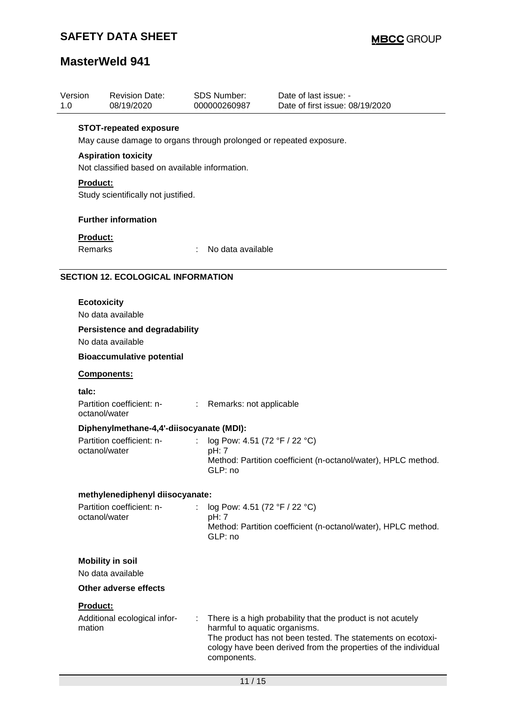## **SAFETY DATA SHEET**

# **MasterWeld 941**

| Version<br>1.0 | <b>Revision Date:</b><br>08/19/2020                                |   | <b>SDS Number:</b><br>000000260987     | Date of last issue: -<br>Date of first issue: 08/19/2020       |  |  |  |  |  |
|----------------|--------------------------------------------------------------------|---|----------------------------------------|----------------------------------------------------------------|--|--|--|--|--|
|                | <b>STOT-repeated exposure</b>                                      |   |                                        |                                                                |  |  |  |  |  |
|                | May cause damage to organs through prolonged or repeated exposure. |   |                                        |                                                                |  |  |  |  |  |
|                | <b>Aspiration toxicity</b>                                         |   |                                        |                                                                |  |  |  |  |  |
|                | Not classified based on available information.                     |   |                                        |                                                                |  |  |  |  |  |
|                | <b>Product:</b><br>Study scientifically not justified.             |   |                                        |                                                                |  |  |  |  |  |
|                | <b>Further information</b>                                         |   |                                        |                                                                |  |  |  |  |  |
|                | Product:                                                           |   |                                        |                                                                |  |  |  |  |  |
|                | Remarks                                                            |   | No data available                      |                                                                |  |  |  |  |  |
|                | <b>SECTION 12. ECOLOGICAL INFORMATION</b>                          |   |                                        |                                                                |  |  |  |  |  |
|                | <b>Ecotoxicity</b>                                                 |   |                                        |                                                                |  |  |  |  |  |
|                | No data available                                                  |   |                                        |                                                                |  |  |  |  |  |
|                | <b>Persistence and degradability</b>                               |   |                                        |                                                                |  |  |  |  |  |
|                | No data available                                                  |   |                                        |                                                                |  |  |  |  |  |
|                | <b>Bioaccumulative potential</b>                                   |   |                                        |                                                                |  |  |  |  |  |
|                | Components:                                                        |   |                                        |                                                                |  |  |  |  |  |
|                | talc:                                                              |   |                                        |                                                                |  |  |  |  |  |
|                | Partition coefficient: n-<br>octanol/water                         |   | : Remarks: not applicable              |                                                                |  |  |  |  |  |
|                | Diphenylmethane-4,4'-diisocyanate (MDI):                           |   |                                        |                                                                |  |  |  |  |  |
|                | Partition coefficient: n-<br>octanol/water                         |   | log Pow: 4.51 (72 °F / 22 °C)<br>pH: 7 |                                                                |  |  |  |  |  |
|                |                                                                    |   | GLP: no                                | Method: Partition coefficient (n-octanol/water), HPLC method.  |  |  |  |  |  |
|                | methylenediphenyl diisocyanate:                                    |   |                                        |                                                                |  |  |  |  |  |
|                | Partition coefficient: n-                                          | ÷ | log Pow: 4.51 (72 °F / 22 °C)          |                                                                |  |  |  |  |  |
|                | octanol/water                                                      |   | pH: 7<br>GLP: no                       | Method: Partition coefficient (n-octanol/water), HPLC method.  |  |  |  |  |  |
|                |                                                                    |   |                                        |                                                                |  |  |  |  |  |
|                | <b>Mobility in soil</b><br>No data available                       |   |                                        |                                                                |  |  |  |  |  |
|                | <b>Other adverse effects</b>                                       |   |                                        |                                                                |  |  |  |  |  |
|                | Product:                                                           |   |                                        |                                                                |  |  |  |  |  |
|                | Additional ecological infor-                                       | ÷ |                                        | There is a high probability that the product is not acutely    |  |  |  |  |  |
|                | mation                                                             |   | harmful to aquatic organisms.          | The product has not been tested. The statements on ecotoxi-    |  |  |  |  |  |
|                |                                                                    |   | components.                            | cology have been derived from the properties of the individual |  |  |  |  |  |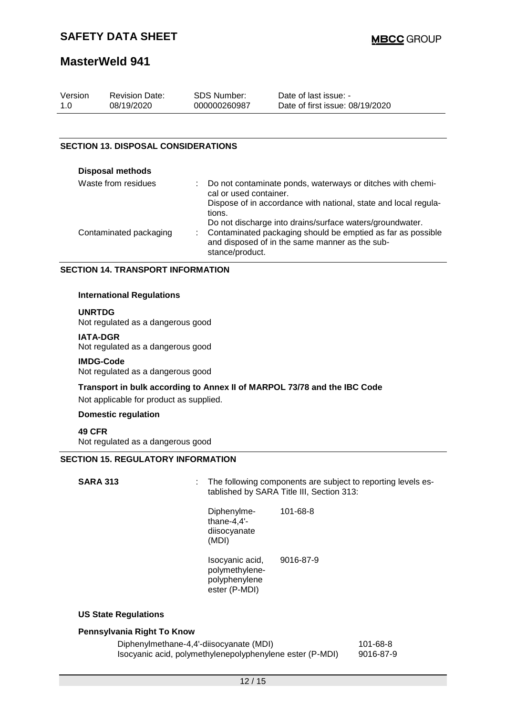| Version | <b>Revision Date:</b> | SDS Number:  | Date of last issue: -           |
|---------|-----------------------|--------------|---------------------------------|
| 1.0     | 08/19/2020            | 000000260987 | Date of first issue: 08/19/2020 |

#### **SECTION 13. DISPOSAL CONSIDERATIONS**

| <b>Disposal methods</b> |                                                                                                                                                                                                |
|-------------------------|------------------------------------------------------------------------------------------------------------------------------------------------------------------------------------------------|
| Waste from residues     | Do not contaminate ponds, waterways or ditches with chemi-<br>cal or used container.                                                                                                           |
|                         | Dispose of in accordance with national, state and local regula-<br>tions.                                                                                                                      |
| Contaminated packaging  | Do not discharge into drains/surface waters/groundwater.<br>: Contaminated packaging should be emptied as far as possible<br>and disposed of in the same manner as the sub-<br>stance/product. |

#### **SECTION 14. TRANSPORT INFORMATION**

#### **International Regulations**

#### **UNRTDG**

Not regulated as a dangerous good

#### **IATA-DGR**

Not regulated as a dangerous good

#### **IMDG-Code**

Not regulated as a dangerous good

**Transport in bulk according to Annex II of MARPOL 73/78 and the IBC Code**

Not applicable for product as supplied.

### **Domestic regulation**

**49 CFR**

Not regulated as a dangerous good

#### **SECTION 15. REGULATORY INFORMATION**

| <b>SARA 313</b> | ÷.                                                                  | The following components are subject to reporting levels es-<br>tablished by SARA Title III, Section 313: |  |
|-----------------|---------------------------------------------------------------------|-----------------------------------------------------------------------------------------------------------|--|
|                 | Diphenylme-<br>thane- $4,4'$ -<br>diisocyanate<br>(MDI)             | 101-68-8                                                                                                  |  |
|                 | Isocyanic acid,<br>polymethylene-<br>polyphenylene<br>ester (P-MDI) | 9016-87-9                                                                                                 |  |

#### **US State Regulations**

#### **Pennsylvania Right To Know**

Diphenylmethane-4,4'-diisocyanate (MDI) 101-68-8 Isocyanic acid, polymethylenepolyphenylene ester (P-MDI) 9016-87-9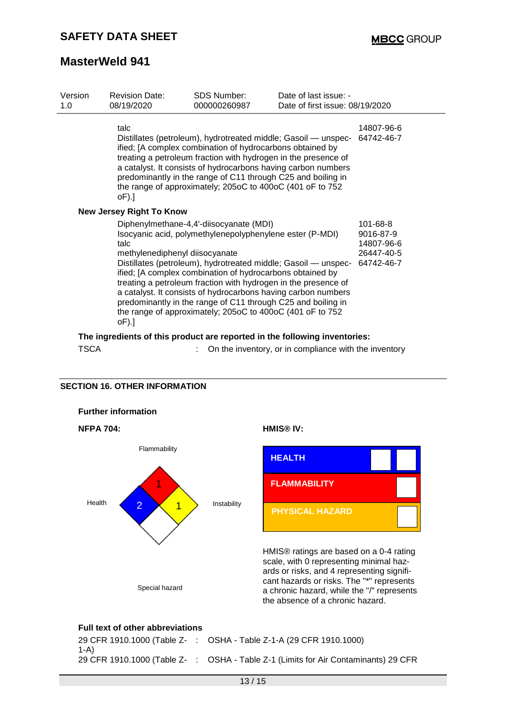| Version<br>1.0 | <b>Revision Date:</b><br>08/19/2020                                        | SDS Number:<br>000000260987                                                                                                                                                                                                                                                                                                                                                                                                                                                                        | Date of last issue: -<br>Date of first issue: 08/19/2020 |                                                                 |
|----------------|----------------------------------------------------------------------------|----------------------------------------------------------------------------------------------------------------------------------------------------------------------------------------------------------------------------------------------------------------------------------------------------------------------------------------------------------------------------------------------------------------------------------------------------------------------------------------------------|----------------------------------------------------------|-----------------------------------------------------------------|
|                | talc<br>$oF$ ).]                                                           | Distillates (petroleum), hydrotreated middle; Gasoil — unspec- 64742-46-7<br>ified; [A complex combination of hydrocarbons obtained by<br>treating a petroleum fraction with hydrogen in the presence of<br>a catalyst. It consists of hydrocarbons having carbon numbers<br>predominantly in the range of C11 through C25 and boiling in<br>the range of approximately; 205oC to 400oC (401 oF to 752                                                                                             |                                                          | 14807-96-6                                                      |
|                | <b>New Jersey Right To Know</b>                                            |                                                                                                                                                                                                                                                                                                                                                                                                                                                                                                    |                                                          |                                                                 |
|                | talc<br>methylenediphenyl diisocyanate<br>$oF$ ).]                         | Diphenylmethane-4,4'-diisocyanate (MDI)<br>Isocyanic acid, polymethylenepolyphenylene ester (P-MDI)<br>Distillates (petroleum), hydrotreated middle; Gasoil - unspec-<br>ified; [A complex combination of hydrocarbons obtained by<br>treating a petroleum fraction with hydrogen in the presence of<br>a catalyst. It consists of hydrocarbons having carbon numbers<br>predominantly in the range of C11 through C25 and boiling in<br>the range of approximately; 205oC to 400oC (401 oF to 752 |                                                          | 101-68-8<br>9016-87-9<br>14807-96-6<br>26447-40-5<br>64742-46-7 |
|                | The ingredients of this product are reported in the following inventories: |                                                                                                                                                                                                                                                                                                                                                                                                                                                                                                    |                                                          |                                                                 |

TSCA : On the inventory, or in compliance with the inventory

#### **SECTION 16. OTHER INFORMATION**



#### **Full text of other abbreviations**

|      | 29 CFR 1910.1000 (Table Z-: OSHA - Table Z-1-A (29 CFR 1910.1000)                  |
|------|------------------------------------------------------------------------------------|
| 1-A) |                                                                                    |
|      | 29 CFR 1910.1000 (Table Z- : OSHA - Table Z-1 (Limits for Air Contaminants) 29 CFR |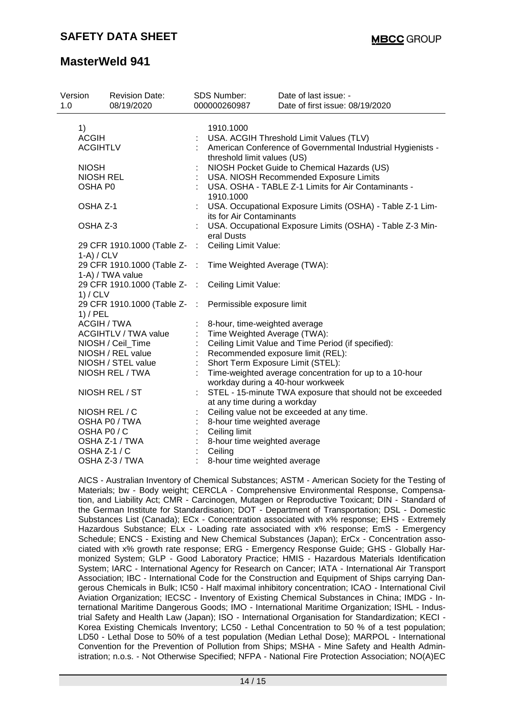| Version<br>1.0 |                                                                                                                                                                                                                                                                                                  | <b>Revision Date:</b><br>08/19/2020 |      | <b>SDS Number:</b><br>000000260987                                                         | Date of last issue: -<br>Date of first issue: 08/19/2020  |  |  |  |
|----------------|--------------------------------------------------------------------------------------------------------------------------------------------------------------------------------------------------------------------------------------------------------------------------------------------------|-------------------------------------|------|--------------------------------------------------------------------------------------------|-----------------------------------------------------------|--|--|--|
|                | 1)                                                                                                                                                                                                                                                                                               |                                     |      | 1910.1000                                                                                  |                                                           |  |  |  |
|                | <b>ACGIH</b><br><b>ACGIHTLV</b><br><b>NIOSH</b><br><b>NIOSH REL</b><br>OSHA P0<br>OSHA Z-1<br>OSHA Z-3<br>29 CFR 1910.1000 (Table Z- :<br>$1-A) / CLV$<br>29 CFR 1910.1000 (Table Z- :<br>1-A) / TWA value<br>29 CFR 1910.1000 (Table Z-<br>1) / CLV<br>29 CFR 1910.1000 (Table Z-<br>$1)$ / PEL |                                     |      |                                                                                            | USA. ACGIH Threshold Limit Values (TLV)                   |  |  |  |
|                |                                                                                                                                                                                                                                                                                                  |                                     |      | American Conference of Governmental Industrial Hygienists -<br>threshold limit values (US) |                                                           |  |  |  |
|                |                                                                                                                                                                                                                                                                                                  |                                     |      |                                                                                            | NIOSH Pocket Guide to Chemical Hazards (US)               |  |  |  |
|                |                                                                                                                                                                                                                                                                                                  |                                     |      |                                                                                            | USA. NIOSH Recommended Exposure Limits                    |  |  |  |
|                |                                                                                                                                                                                                                                                                                                  |                                     |      | 1910.1000                                                                                  | USA. OSHA - TABLE Z-1 Limits for Air Contaminants -       |  |  |  |
|                |                                                                                                                                                                                                                                                                                                  |                                     |      | its for Air Contaminants                                                                   | USA. Occupational Exposure Limits (OSHA) - Table Z-1 Lim- |  |  |  |
|                |                                                                                                                                                                                                                                                                                                  |                                     |      | eral Dusts                                                                                 | USA. Occupational Exposure Limits (OSHA) - Table Z-3 Min- |  |  |  |
|                |                                                                                                                                                                                                                                                                                                  |                                     |      | Ceiling Limit Value:                                                                       |                                                           |  |  |  |
|                |                                                                                                                                                                                                                                                                                                  |                                     |      |                                                                                            |                                                           |  |  |  |
|                |                                                                                                                                                                                                                                                                                                  |                                     |      | Time Weighted Average (TWA):                                                               |                                                           |  |  |  |
|                |                                                                                                                                                                                                                                                                                                  |                                     |      | Ceiling Limit Value:                                                                       |                                                           |  |  |  |
|                |                                                                                                                                                                                                                                                                                                  |                                     | - 11 | Permissible exposure limit                                                                 |                                                           |  |  |  |
|                | <b>ACGIH / TWA</b>                                                                                                                                                                                                                                                                               |                                     |      | 8-hour, time-weighted average                                                              |                                                           |  |  |  |
|                |                                                                                                                                                                                                                                                                                                  | <b>ACGIHTLV / TWA value</b>         |      | Time Weighted Average (TWA):                                                               |                                                           |  |  |  |
|                |                                                                                                                                                                                                                                                                                                  | NIOSH / Ceil_Time                   |      |                                                                                            | Ceiling Limit Value and Time Period (if specified):       |  |  |  |
|                |                                                                                                                                                                                                                                                                                                  | NIOSH / REL value                   |      |                                                                                            | Recommended exposure limit (REL):                         |  |  |  |
|                |                                                                                                                                                                                                                                                                                                  | NIOSH / STEL value                  |      | Short Term Exposure Limit (STEL):                                                          |                                                           |  |  |  |
|                | NIOSH REL / TWA                                                                                                                                                                                                                                                                                  |                                     |      |                                                                                            | Time-weighted average concentration for up to a 10-hour   |  |  |  |
|                |                                                                                                                                                                                                                                                                                                  |                                     |      |                                                                                            | workday during a 40-hour workweek                         |  |  |  |
|                |                                                                                                                                                                                                                                                                                                  | NIOSH REL / ST                      |      |                                                                                            | STEL - 15-minute TWA exposure that should not be exceeded |  |  |  |
|                |                                                                                                                                                                                                                                                                                                  |                                     |      | at any time during a workday                                                               |                                                           |  |  |  |
|                |                                                                                                                                                                                                                                                                                                  | NIOSH REL / C                       |      |                                                                                            | Ceiling value not be exceeded at any time.                |  |  |  |
|                | OSHA P0 / TWA                                                                                                                                                                                                                                                                                    |                                     |      | 8-hour time weighted average                                                               |                                                           |  |  |  |
|                | OSHA P0/C                                                                                                                                                                                                                                                                                        |                                     |      | Ceiling limit                                                                              |                                                           |  |  |  |
|                |                                                                                                                                                                                                                                                                                                  | OSHA Z-1 / TWA                      |      | 8-hour time weighted average                                                               |                                                           |  |  |  |
|                | OSHA Z-1 / C                                                                                                                                                                                                                                                                                     |                                     |      | Ceiling                                                                                    |                                                           |  |  |  |
|                | OSHA Z-3 / TWA                                                                                                                                                                                                                                                                                   |                                     |      | 8-hour time weighted average                                                               |                                                           |  |  |  |

AICS - Australian Inventory of Chemical Substances; ASTM - American Society for the Testing of Materials; bw - Body weight; CERCLA - Comprehensive Environmental Response, Compensation, and Liability Act; CMR - Carcinogen, Mutagen or Reproductive Toxicant; DIN - Standard of the German Institute for Standardisation; DOT - Department of Transportation; DSL - Domestic Substances List (Canada); ECx - Concentration associated with x% response; EHS - Extremely Hazardous Substance; ELx - Loading rate associated with x% response; EmS - Emergency Schedule; ENCS - Existing and New Chemical Substances (Japan); ErCx - Concentration associated with x% growth rate response; ERG - Emergency Response Guide; GHS - Globally Harmonized System; GLP - Good Laboratory Practice; HMIS - Hazardous Materials Identification System; IARC - International Agency for Research on Cancer; IATA - International Air Transport Association; IBC - International Code for the Construction and Equipment of Ships carrying Dangerous Chemicals in Bulk; IC50 - Half maximal inhibitory concentration; ICAO - International Civil Aviation Organization; IECSC - Inventory of Existing Chemical Substances in China; IMDG - International Maritime Dangerous Goods; IMO - International Maritime Organization; ISHL - Industrial Safety and Health Law (Japan); ISO - International Organisation for Standardization; KECI - Korea Existing Chemicals Inventory; LC50 - Lethal Concentration to 50 % of a test population; LD50 - Lethal Dose to 50% of a test population (Median Lethal Dose); MARPOL - International Convention for the Prevention of Pollution from Ships; MSHA - Mine Safety and Health Administration; n.o.s. - Not Otherwise Specified; NFPA - National Fire Protection Association; NO(A)EC